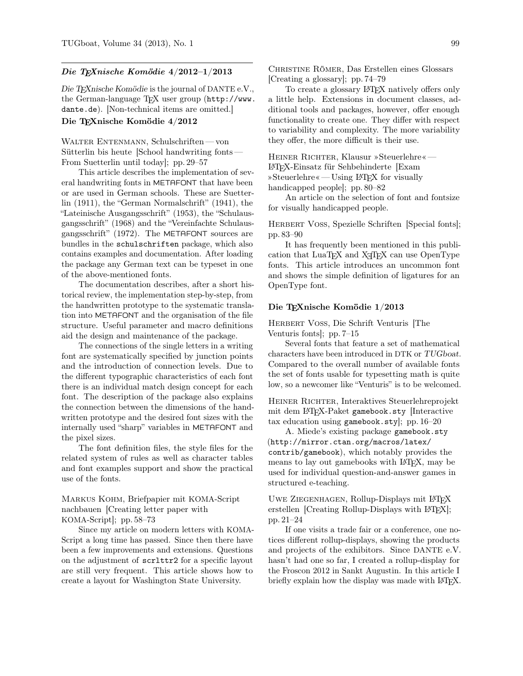### Die TEXnische Komödie 4/2012–1/2013

Die TEXnische Komödie is the journal of DANTE e.V., the German-language TEX user group (http://www. dante.de). [Non-technical items are omitted.] Die TEXnische Komödie 4/2012

WALTER ENTENMANN, Schulschriften— von Sütterlin bis heute [School handwriting fonts— From Suetterlin until today]; pp. 29–57

This article describes the implementation of several handwriting fonts in METAFONT that have been or are used in German schools. These are Suetterlin (1911), the "German Normalschrift" (1941), the "Lateinische Ausgangsschrift" (1953), the "Schulausgangsschrift" (1968) and the "Vereinfachte Schulausgangsschrift" (1972). The METAFONT sources are bundles in the schulschriften package, which also contains examples and documentation. After loading the package any German text can be typeset in one of the above-mentioned fonts.

The documentation describes, after a short historical review, the implementation step-by-step, from the handwritten prototype to the systematic translation into METAFONT and the organisation of the file structure. Useful parameter and macro definitions aid the design and maintenance of the package.

The connections of the single letters in a writing font are systematically specified by junction points and the introduction of connection levels. Due to the different typographic characteristics of each font there is an individual match design concept for each font. The description of the package also explains the connection between the dimensions of the handwritten prototype and the desired font sizes with the internally used "sharp" variables in METAFONT and the pixel sizes.

The font definition files, the style files for the related system of rules as well as character tables and font examples support and show the practical use of the fonts.

Markus Kohm, Briefpapier mit KOMA-Script nachbauen [Creating letter paper with KOMA-Script]; pp. 58–73

Since my article on modern letters with KOMA-Script a long time has passed. Since then there have been a few improvements and extensions. Questions on the adjustment of scrlttr2 for a specific layout are still very frequent. This article shows how to create a layout for Washington State University.

Christine Römer, Das Erstellen eines Glossars [Creating a glossary]; pp. 74–79

To create a glossary LATEX natively offers only a little help. Extensions in document classes, additional tools and packages, however, offer enough functionality to create one. They differ with respect to variability and complexity. The more variability they offer, the more difficult is their use.

Heiner Richter, Klausur »Steuerlehre«— LATEX-Einsatz für Sehbehinderte [Exam »Steuerlehre«— Using LATEX for visually handicapped people]; pp. 80–82

An article on the selection of font and fontsize for visually handicapped people.

HERBERT VOSS, Spezielle Schriften [Special fonts]; pp. 83–90

It has frequently been mentioned in this publication that LuaT<sub>EX</sub> and X<sub>T</sub>T<sub>EX</sub> can use OpenType fonts. This article introduces an uncommon font and shows the simple definition of ligatures for an OpenType font.

### Die TEXnische Komödie 1/2013

## Herbert Voß, Die Schrift Venturis [The Venturis fonts]; pp. 7–15

Several fonts that feature a set of mathematical characters have been introduced in DTK or TUGboat. Compared to the overall number of available fonts the set of fonts usable for typesetting math is quite low, so a newcomer like "Venturis" is to be welcomed.

HEINER RICHTER, Interaktives Steuerlehreprojekt mit dem LATEX-Paket gamebook.sty [Interactive tax education using gamebook.sty]; pp. 16–20

A. Miede's existing package gamebook.sty (http://mirror.ctan.org/macros/latex/ contrib/gamebook), which notably provides the means to lay out gamebooks with LAT<sub>EX</sub>, may be used for individual question-and-answer games in structured e-teaching.

UWE ZIEGENHAGEN, Rollup-Displays mit L<sup>AT</sup>FX erstellen [Creating Rollup-Displays with  $\text{LFT}_K$ ]; pp. 21–24

If one visits a trade fair or a conference, one notices different rollup-displays, showing the products and projects of the exhibitors. Since DANTE e.V. hasn't had one so far, I created a rollup-display for the Froscon 2012 in Sankt Augustin. In this article I briefly explain how the display was made with LAT<sub>EX</sub>.